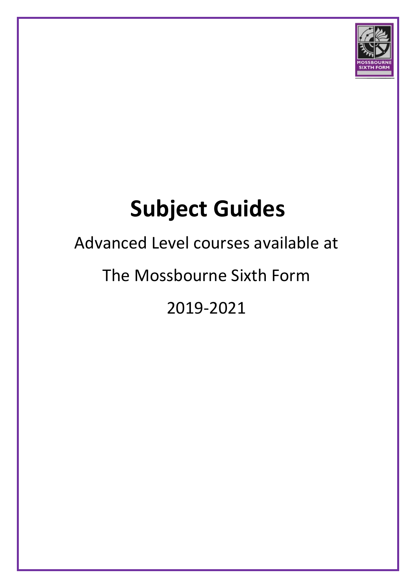

# **Subject Guides**

### Advanced Level courses available at

### The Mossbourne Sixth Form

2019-2021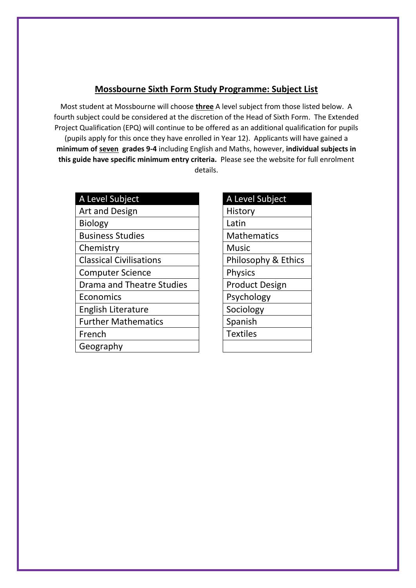### **Mossbourne Sixth Form Study Programme: Subject List**

Most student at Mossbourne will choose **three** A level subject from those listed below. A fourth subject could be considered at the discretion of the Head of Sixth Form. The Extended Project Qualification (EPQ) will continue to be offered as an additional qualification for pupils (pupils apply for this once they have enrolled in Year 12). Applicants will have gained a **minimum of seven grades 9-4** including English and Maths, however, **individual subjects in this guide have specific minimum entry criteria.** Please see the website for full enrolment details.

| A Level Subject                |
|--------------------------------|
| <b>Art and Design</b>          |
| <b>Biology</b>                 |
| <b>Business Studies</b>        |
| Chemistry                      |
| <b>Classical Civilisations</b> |
| <b>Computer Science</b>        |
| Drama and Theatre Studies      |
| Economics                      |
| English Literature             |
| <b>Further Mathematics</b>     |
| French                         |
| Geography                      |

| A Level Subject     |
|---------------------|
| History             |
| Latin               |
| <b>Mathematics</b>  |
| Music               |
| Philosophy & Ethics |
| <b>Physics</b>      |
| Product Design      |
| Psychology          |
| Sociology           |
| Spanish             |
| <b>Textiles</b>     |
|                     |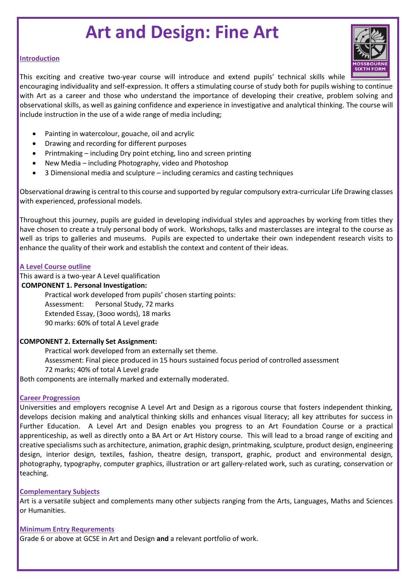### **Art and Design: Fine Art**

### **Introduction**

This exciting and creative two-year course will introduce and extend pupils' technical skills while

encouraging individuality and self-expression. It offers a stimulating course of study both for pupils wishing to continue with Art as a career and those who understand the importance of developing their creative, problem solving and observational skills, as well as gaining confidence and experience in investigative and analytical thinking. The course will include instruction in the use of a wide range of media including;

- Painting in watercolour, gouache, oil and acrylic
- Drawing and recording for different purposes
- Printmaking including Dry point etching, lino and screen printing
- New Media including Photography, video and Photoshop
- 3 Dimensional media and sculpture including ceramics and casting techniques

Observational drawing is central to this course and supported by regular compulsory extra-curricular Life Drawing classes with experienced, professional models.

Throughout this journey, pupils are guided in developing individual styles and approaches by working from titles they have chosen to create a truly personal body of work. Workshops, talks and masterclasses are integral to the course as well as trips to galleries and museums. Pupils are expected to undertake their own independent research visits to enhance the quality of their work and establish the context and content of their ideas.

### **A Level Course outline**

This award is a two-year A Level qualification

### **COMPONENT 1. Personal Investigation:**

Practical work developed from pupils' chosen starting points: Assessment: Personal Study, 72 marks Extended Essay, (3ooo words), 18 marks 90 marks: 60% of total A Level grade

### **COMPONENT 2. Externally Set Assignment:**

Practical work developed from an externally set theme. Assessment: Final piece produced in 15 hours sustained focus period of controlled assessment 72 marks; 40% of total A Level grade

Both components are internally marked and externally moderated.

### **Career Progression**

Universities and employers recognise A Level Art and Design as a rigorous course that fosters independent thinking, develops decision making and analytical thinking skills and enhances visual literacy; all key attributes for success in Further Education. A Level Art and Design enables you progress to an Art Foundation Course or a practical apprenticeship, as well as directly onto a BA Art or Art History course. This will lead to a broad range of exciting and creative specialisms such as architecture, animation, graphic design, printmaking, sculpture, product design, engineering design, interior design, textiles, fashion, theatre design, transport, graphic, product and environmental design, photography, typography, computer graphics, illustration or art gallery-related work, such as curating, conservation or teaching.

### **Complementary Subjects**

Art is a versatile subject and complements many other subjects ranging from the Arts, Languages, Maths and Sciences or Humanities.

### **Minimum Entry Requrements**

Grade 6 or above at GCSE in Art and Design **and** a relevant portfolio of work.

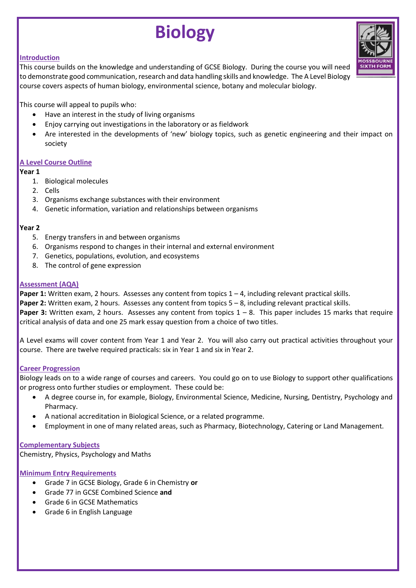### **Biology**

### **Introduction**

This course builds on the knowledge and understanding of GCSE Biology. During the course you will need to demonstrate good communication, research and data handling skills and knowledge. The A Level Biology course covers aspects of human biology, environmental science, botany and molecular biology.

This course will appeal to pupils who:

- Have an interest in the study of living organisms
- Enjoy carrying out investigations in the laboratory or as fieldwork
- Are interested in the developments of 'new' biology topics, such as genetic engineering and their impact on society

### **A Level Course Outline**

### **Year 1**

- 1. Biological molecules
- 2. Cells
- 3. Organisms exchange substances with their environment
- 4. Genetic information, variation and relationships between organisms

### **Year 2**

- 5. Energy transfers in and between organisms
- 6. Organisms respond to changes in their internal and external environment
- 7. Genetics, populations, evolution, and ecosystems
- 8. The control of gene expression

### **Assessment (AQA)**

**Paper 1:** Written exam, 2 hours. Assesses any content from topics  $1 - 4$ , including relevant practical skills. **Paper 2:** Written exam, 2 hours. Assesses any content from topics 5 – 8, including relevant practical skills.

**Paper 3:** Written exam, 2 hours. Assesses any content from topics 1 – 8. This paper includes 15 marks that require critical analysis of data and one 25 mark essay question from a choice of two titles.

A Level exams will cover content from Year 1 and Year 2. You will also carry out practical activities throughout your course. There are twelve required practicals: six in Year 1 and six in Year 2.

### **Career Progression**

Biology leads on to a wide range of courses and careers. You could go on to use Biology to support other qualifications or progress onto further studies or employment. These could be:

- A degree course in, for example, Biology, Environmental Science, Medicine, Nursing, Dentistry, Psychology and Pharmacy.
- A national accreditation in Biological Science, or a related programme.
- Employment in one of many related areas, such as Pharmacy, Biotechnology, Catering or Land Management.

#### **Complementary Subjects**

Chemistry, Physics, Psychology and Maths

- Grade 7 in GCSE Biology, Grade 6 in Chemistry **or**
- Grade 77 in GCSE Combined Science **and**
- Grade 6 in GCSE Mathematics
- Grade 6 in English Language

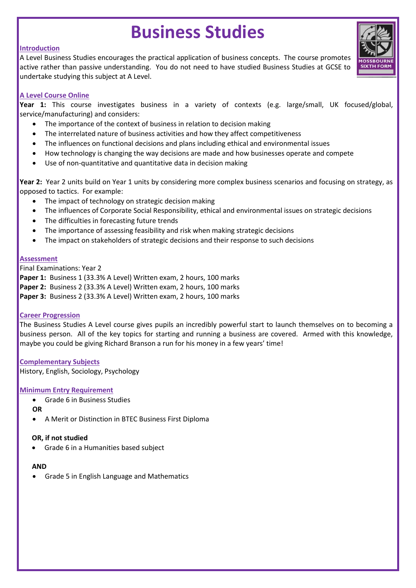### **Business Studies**

### **Introduction**

A Level Business Studies encourages the practical application of business concepts. The course promotes active rather than passive understanding. You do not need to have studied Business Studies at GCSE to undertake studying this subject at A Level.



### **A Level Course Online**

**Year 1:** This course investigates business in a variety of contexts (e.g. large/small, UK focused/global, service/manufacturing) and considers:

- The importance of the context of business in relation to decision making
- The interrelated nature of business activities and how they affect competitiveness
- The influences on functional decisions and plans including ethical and environmental issues
- How technology is changing the way decisions are made and how businesses operate and compete
- Use of non-quantitative and quantitative data in decision making

**Year 2:** Year 2 units build on Year 1 units by considering more complex business scenarios and focusing on strategy, as opposed to tactics. For example:

- The impact of technology on strategic decision making
- The influences of Corporate Social Responsibility, ethical and environmental issues on strategic decisions
- The difficulties in forecasting future trends
- The importance of assessing feasibility and risk when making strategic decisions
- The impact on stakeholders of strategic decisions and their response to such decisions

### **Assessment**

Final Examinations: Year 2

Paper 1: Business 1 (33.3% A Level) Written exam, 2 hours, 100 marks

**Paper 2:** Business 2 (33.3% A Level) Written exam, 2 hours, 100 marks

**Paper 3:** Business 2 (33.3% A Level) Written exam, 2 hours, 100 marks

### **Career Progression**

The Business Studies A Level course gives pupils an incredibly powerful start to launch themselves on to becoming a business person. All of the key topics for starting and running a business are covered. Armed with this knowledge, maybe you could be giving Richard Branson a run for his money in a few years' time!

### **Complementary Subjects**

History, English, Sociology, Psychology

### **Minimum Entry Requirement**

- Grade 6 in Business Studies
- **OR**
- A Merit or Distinction in BTEC Business First Diploma

### **OR, if not studied**

Grade 6 in a Humanities based subject

#### **AND**

Grade 5 in English Language and Mathematics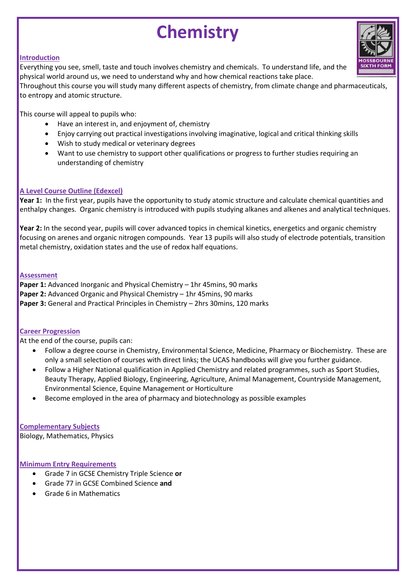### **Chemistry**

### **Introduction**

Everything you see, smell, taste and touch involves chemistry and chemicals. To understand life, and the physical world around us, we need to understand why and how chemical reactions take place.

Throughout this course you will study many different aspects of chemistry, from climate change and pharmaceuticals, to entropy and atomic structure.

This course will appeal to pupils who:

- Have an interest in, and enjoyment of, chemistry
- Enjoy carrying out practical investigations involving imaginative, logical and critical thinking skills
- Wish to study medical or veterinary degrees
- Want to use chemistry to support other qualifications or progress to further studies requiring an understanding of chemistry

### **A Level Course Outline (Edexcel)**

**Year 1:** In the first year, pupils have the opportunity to study atomic structure and calculate chemical quantities and enthalpy changes. Organic chemistry is introduced with pupils studying alkanes and alkenes and analytical techniques.

**Year 2:** In the second year, pupils will cover advanced topics in chemical kinetics, energetics and organic chemistry focusing on arenes and organic nitrogen compounds. Year 13 pupils will also study of electrode potentials, transition metal chemistry, oxidation states and the use of redox half equations.

### **Assessment**

**Paper 1:** Advanced Inorganic and Physical Chemistry – 1hr 45mins, 90 marks Paper 2: Advanced Organic and Physical Chemistry - 1hr 45mins, 90 marks **Paper 3:** General and Practical Principles in Chemistry – 2hrs 30mins, 120 marks

### **Career Progression**

At the end of the course, pupils can:

- Follow a degree course in Chemistry, Environmental Science, Medicine, Pharmacy or Biochemistry. These are only a small selection of courses with direct links; the UCAS handbooks will give you further guidance.
- Follow a Higher National qualification in Applied Chemistry and related programmes, such as Sport Studies, Beauty Therapy, Applied Biology, Engineering, Agriculture, Animal Management, Countryside Management, Environmental Science, Equine Management or Horticulture
- Become employed in the area of pharmacy and biotechnology as possible examples

**Complementary Subjects** Biology, Mathematics, Physics

- Grade 7 in GCSE Chemistry Triple Science **or**
- Grade 77 in GCSE Combined Science **and**
- Grade 6 in Mathematics

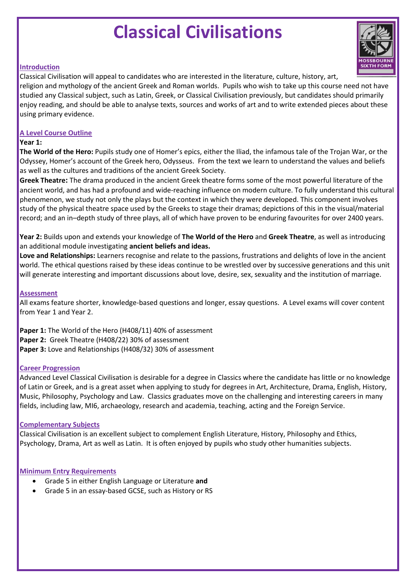### **Classical Civilisations**



### **Introduction**

Classical Civilisation will appeal to candidates who are interested in the literature, culture, history, art, religion and mythology of the ancient Greek and Roman worlds. Pupils who wish to take up this course need not have studied any Classical subject, such as Latin, Greek, or Classical Civilisation previously, but candidates should primarily enjoy reading, and should be able to analyse texts, sources and works of art and to write extended pieces about these using primary evidence.

### **A Level Course Outline**

### **Year 1:**

**The World of the Hero:** Pupils study one of Homer's epics, either the Iliad, the infamous tale of the Trojan War, or the Odyssey, Homer's account of the Greek hero, Odysseus. From the text we learn to understand the values and beliefs as well as the cultures and traditions of the ancient Greek Society.

**Greek Theatre:** The drama produced in the ancient Greek theatre forms some of the most powerful literature of the ancient world, and has had a profound and wide-reaching influence on modern culture. To fully understand this cultural phenomenon, we study not only the plays but the context in which they were developed. This component involves study of the physical theatre space used by the Greeks to stage their dramas; depictions of this in the visual/material record; and an in–depth study of three plays, all of which have proven to be enduring favourites for over 2400 years.

**Year 2:** Builds upon and extends your knowledge of **The World of the Hero** and **Greek Theatre**, as well as introducing an additional module investigating **ancient beliefs and ideas.**

**Love and Relationships:** Learners recognise and relate to the passions, frustrations and delights of love in the ancient world. The ethical questions raised by these ideas continue to be wrestled over by successive generations and this unit will generate interesting and important discussions about love, desire, sex, sexuality and the institution of marriage.

### **Assessment**

All exams feature shorter, knowledge-based questions and longer, essay questions. A Level exams will cover content from Year 1 and Year 2.

**Paper 1:** The World of the Hero (H408/11) 40% of assessment **Paper 2:** Greek Theatre (H408/22) 30% of assessment **Paper 3:** Love and Relationships (H408/32) 30% of assessment

#### **Career Progression**

Advanced Level Classical Civilisation is desirable for a degree in Classics where the candidate has little or no knowledge of Latin or Greek, and is a great asset when applying to study for degrees in Art, Architecture, Drama, English, History, Music, Philosophy, Psychology and Law. Classics graduates move on the challenging and interesting careers in many fields, including law, MI6, archaeology, research and academia, teaching, acting and the Foreign Service.

### **Complementary Subjects**

Classical Civilisation is an excellent subject to complement English Literature, History, Philosophy and Ethics, Psychology, Drama, Art as well as Latin. It is often enjoyed by pupils who study other humanities subjects.

- Grade 5 in either English Language or Literature **and**
- Grade 5 in an essay-based GCSE, such as History or RS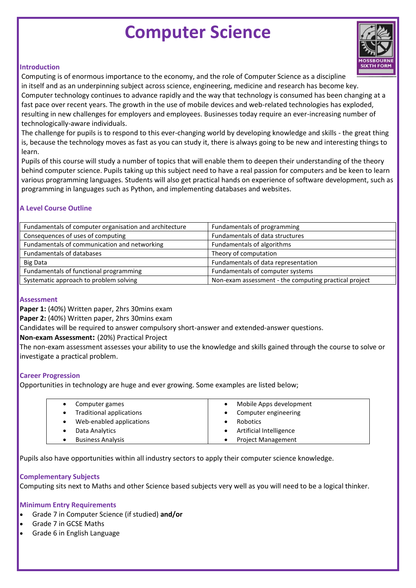### **Computer Science**



#### **Introduction**

Computing is of enormous importance to the economy, and the role of Computer Science as a discipline in itself and as an underpinning subject across science, engineering, medicine and research has become key. Computer technology continues to advance rapidly and the way that technology is consumed has been changing at a fast pace over recent years. The growth in the use of mobile devices and web-related technologies has exploded, resulting in new challenges for employers and employees. Businesses today require an ever-increasing number of technologically-aware individuals.

The challenge for pupils is to respond to this ever-changing world by developing knowledge and skills - the great thing is, because the technology moves as fast as you can study it, there is always going to be new and interesting things to learn.

Pupils of this course will study a number of topics that will enable them to deepen their understanding of the theory behind computer science. Pupils taking up this subject need to have a real passion for computers and be keen to learn various programming languages. Students will also get practical hands on experience of software development, such as programming in languages such as Python, and implementing databases and websites.

### **A Level Course Outline**

| Fundamentals of computer organisation and architecture | Fundamentals of programming                           |
|--------------------------------------------------------|-------------------------------------------------------|
| Consequences of uses of computing                      | Fundamentals of data structures                       |
| Fundamentals of communication and networking           | Fundamentals of algorithms                            |
| Fundamentals of databases                              | Theory of computation                                 |
| <b>Big Data</b>                                        | Fundamentals of data representation                   |
| Fundamentals of functional programming                 | Fundamentals of computer systems                      |
| Systematic approach to problem solving                 | Non-exam assessment - the computing practical project |

#### **Assessment**

**Paper 1:** (40%) Written paper, 2hrs 30mins exam

**Paper 2:** (40%) Written paper, 2hrs 30mins exam

Candidates will be required to answer compulsory short-answer and extended-answer questions.

**Non-exam Assessment:** (20%) Practical Project

The non-exam assessment assesses your ability to use the knowledge and skills gained through the course to solve or investigate a practical problem.

### **Career Progression**

Opportunities in technology are huge and ever growing. Some examples are listed below;

| Computer games                       | Mobile Apps development   |
|--------------------------------------|---------------------------|
| <b>Traditional applications</b><br>٠ | Computer engineering      |
| Web-enabled applications<br>٠        | <b>Robotics</b>           |
| Data Analytics                       | Artificial Intelligence   |
| <b>Business Analysis</b>             | <b>Project Management</b> |

Pupils also have opportunities within all industry sectors to apply their computer science knowledge.

#### **Complementary Subjects**

Computing sits next to Maths and other Science based subjects very well as you will need to be a logical thinker.

- Grade 7 in Computer Science (if studied) **and/or**
- Grade 7 in GCSE Maths
- Grade 6 in English Language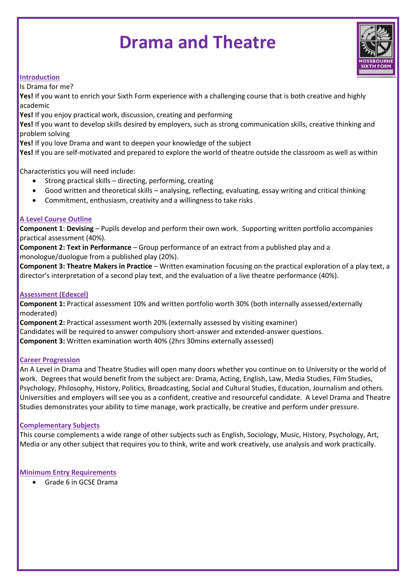### **Drama and Theatre**



### **Introduction**

Is Drama for me?

**Yes!** If you want to enrich your Sixth Form experience with a challenging course that is both creative and highly academic

**Yes!** If you enjoy practical work, discussion, creating and performing

**Yes!** If you want to develop skills desired by employers, such as strong communication skills, creative thinking and problem solving

**Yes!** If you love Drama and want to deepen your knowledge of the subject

**Yes!** If you are self-motivated and prepared to explore the world of theatre outside the classroom as well as within

Characteristics you will need include:

- Strong practical skills directing, performing, creating
- Good written and theoretical skills analysing, reflecting, evaluating, essay writing and critical thinking
- Commitment, enthusiasm, creativity and a willingness to take risks

### **A Level Course Outline**

**Component 1**: **Devising** – Pupils develop and perform their own work. Supporting written portfolio accompanies practical assessment (40%).

**Component 2: Text in Performance** – Group performance of an extract from a published play and a monologue/duologue from a published play (20%).

**Component 3: Theatre Makers in Practice** – Written examination focusing on the practical exploration of a play text, a director's interpretation of a second play text, and the evaluation of a live theatre performance (40%).

### **Assessment (Edexcel)**

**Component 1:** Practical assessment 10% and written portfolio worth 30% (both internally assessed/externally moderated)

**Component 2:** Practical assessment worth 20% (externally assessed by visiting examiner) Candidates will be required to answer compulsory short-answer and extended-answer questions. **Component 3:** Written examination worth 40% (2hrs 30mins externally assessed)

### **Career Progression**

An A Level in Drama and Theatre Studies will open many doors whether you continue on to University or the world of work. Degrees that would benefit from the subject are: Drama, Acting, English, Law, Media Studies, Film Studies, Psychology, Philosophy, History, Politics, Broadcasting, Social and Cultural Studies, Education, Journalism and others. Universities and employers will see you as a confident, creative and resourceful candidate. A Level Drama and Theatre Studies demonstrates your ability to time manage, work practically, be creative and perform under pressure.

### **Complementary Subjects**

This course complements a wide range of other subjects such as English, Sociology, Music, History, Psychology, Art, Media or any other subject that requires you to think, write and work creatively, use analysis and work practically.

### **Minimum Entry Requirements**

Grade 6 in GCSE Drama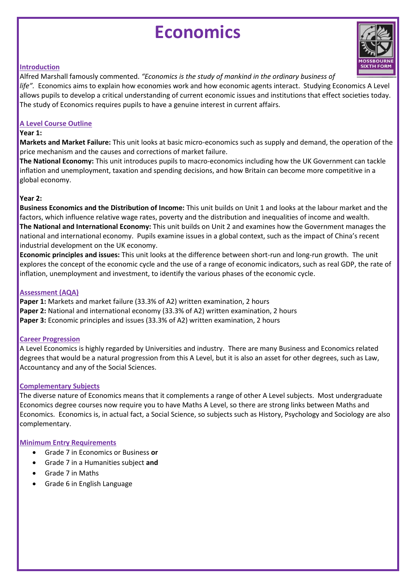### **Economics**



### **Introduction**

Alfred Marshall famously commented. *"Economics is the study of mankind in the ordinary business of* 

*life".* Economics aims to explain how economies work and how economic agents interact. Studying Economics A Level allows pupils to develop a critical understanding of current economic issues and institutions that effect societies today. The study of Economics requires pupils to have a genuine interest in current affairs.

### **A Level Course Outline**

### **Year 1:**

**Markets and Market Failure:** This unit looks at basic micro-economics such as supply and demand, the operation of the price mechanism and the causes and corrections of market failure.

**The National Economy:** This unit introduces pupils to macro-economics including how the UK Government can tackle inflation and unemployment, taxation and spending decisions, and how Britain can become more competitive in a global economy.

### **Year 2:**

**Business Economics and the Distribution of Income:** This unit builds on Unit 1 and looks at the labour market and the factors, which influence relative wage rates, poverty and the distribution and inequalities of income and wealth. **The National and International Economy:** This unit builds on Unit 2 and examines how the Government manages the national and international economy. Pupils examine issues in a global context, such as the impact of China's recent industrial development on the UK economy.

**Economic principles and issues:** This unit looks at the difference between short-run and long-run growth. The unit explores the concept of the economic cycle and the use of a range of economic indicators, such as real GDP, the rate of inflation, unemployment and investment, to identify the various phases of the economic cycle.

### **Assessment (AQA)**

**Paper 1:** Markets and market failure (33.3% of A2) written examination, 2 hours **Paper 2:** National and international economy (33.3% of A2) written examination, 2 hours **Paper 3:** Economic principles and issues (33.3% of A2) written examination, 2 hours

### **Career Progression**

A Level Economics is highly regarded by Universities and industry. There are many Business and Economics related degrees that would be a natural progression from this A Level, but it is also an asset for other degrees, such as Law, Accountancy and any of the Social Sciences.

### **Complementary Subjects**

The diverse nature of Economics means that it complements a range of other A Level subjects. Most undergraduate Economics degree courses now require you to have Maths A Level, so there are strong links between Maths and Economics. Economics is, in actual fact, a Social Science, so subjects such as History, Psychology and Sociology are also complementary.

- Grade 7 in Economics or Business **or**
- Grade 7 in a Humanities subject **and**
- Grade 7 in Maths
- Grade 6 in English Language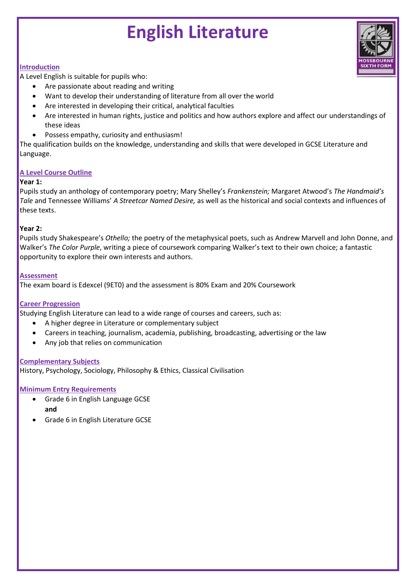### **English Literature**



### **Introduction**

A Level English is suitable for pupils who:

- Are passionate about reading and writing
- Want to develop their understanding of literature from all over the world
- Are interested in developing their critical, analytical faculties
- Are interested in human rights, justice and politics and how authors explore and affect our understandings of these ideas
- Possess empathy, curiosity and enthusiasm!

The qualification builds on the knowledge, understanding and skills that were developed in GCSE Literature and Language.

### **A Level Course Outline**

### **Year 1:**

Pupils study an anthology of contemporary poetry; Mary Shelley's *Frankenstein;* Margaret Atwood's *The Handmaid's Tale* and Tennessee Williams' *A Streetcar Named Desire,* as well as the historical and social contexts and influences of these texts.

### **Year 2:**

Pupils study Shakespeare's *Othello;* the poetry of the metaphysical poets, such as Andrew Marvell and John Donne, and Walker's *The Color Purple*, writing a piece of coursework comparing Walker's text to their own choice; a fantastic opportunity to explore their own interests and authors.

### **Assessment**

The exam board is Edexcel (9ET0) and the assessment is 80% Exam and 20% Coursework

### **Career Progression**

Studying English Literature can lead to a wide range of courses and careers, such as:

- A higher degree in Literature or complementary subject
- Careers in teaching, journalism, academia, publishing, broadcasting, advertising or the law
- Any job that relies on communication

#### **Complementary Subjects**

History, Psychology, Sociology, Philosophy & Ethics, Classical Civilisation

- Grade 6 in English Language GCSE **and**
- Grade 6 in English Literature GCSE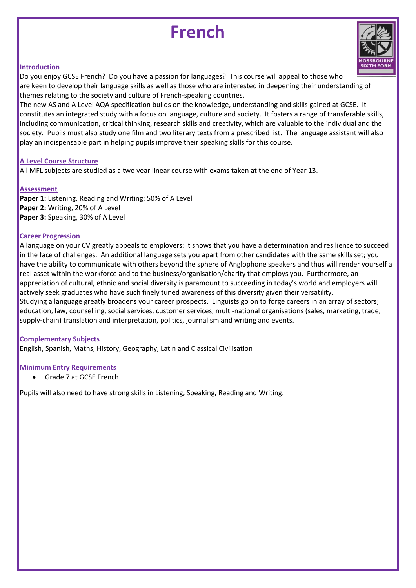### **French**



### **Introduction**

Do you enjoy GCSE French? Do you have a passion for languages? This course will appeal to those who are keen to develop their language skills as well as those who are interested in deepening their understanding of themes relating to the society and culture of French-speaking countries.

The new AS and A Level AQA specification builds on the knowledge, understanding and skills gained at GCSE. It constitutes an integrated study with a focus on language, culture and society. It fosters a range of transferable skills, including communication, critical thinking, research skills and creativity, which are valuable to the individual and the society. Pupils must also study one film and two literary texts from a prescribed list. The language assistant will also play an indispensable part in helping pupils improve their speaking skills for this course.

### **A Level Course Structure**

All MFL subjects are studied as a two year linear course with exams taken at the end of Year 13.

### **Assessment**

**Paper 1:** Listening, Reading and Writing: 50% of A Level **Paper 2:** Writing, 20% of A Level **Paper 3:** Speaking, 30% of A Level

### **Career Progression**

A language on your CV greatly appeals to employers: it shows that you have a determination and resilience to succeed in the face of challenges. An additional language sets you apart from other candidates with the same skills set; you have the ability to communicate with others beyond the sphere of Anglophone speakers and thus will render yourself a real asset within the workforce and to the business/organisation/charity that employs you. Furthermore, an appreciation of cultural, ethnic and social diversity is paramount to succeeding in today's world and employers will actively seek graduates who have such finely tuned awareness of this diversity given their versatility. Studying a language greatly broadens your career prospects. Linguists go on to forge careers in an array of sectors; education, law, counselling, social services, customer services, multi-national organisations (sales, marketing, trade, supply-chain) translation and interpretation, politics, journalism and writing and events.

### **Complementary Subjects**

English, Spanish, Maths, History, Geography, Latin and Classical Civilisation

### **Minimum Entry Requirements**

Grade 7 at GCSE French

Pupils will also need to have strong skills in Listening, Speaking, Reading and Writing.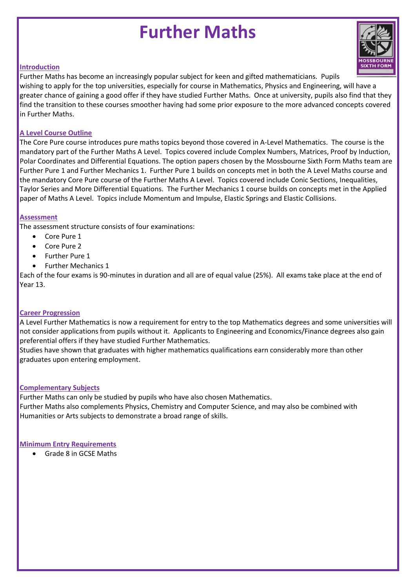### **Further Maths**

### **Introduction**

Further Maths has become an increasingly popular subject for keen and gifted mathematicians. Pupils wishing to apply for the top universities, especially for course in Mathematics, Physics and Engineering, will have a greater chance of gaining a good offer if they have studied Further Maths. Once at university, pupils also find that they find the transition to these courses smoother having had some prior exposure to the more advanced concepts covered in Further Maths.

### **A Level Course Outline**

The Core Pure course introduces pure maths topics beyond those covered in A-Level Mathematics. The course is the mandatory part of the Further Maths A Level. Topics covered include Complex Numbers, Matrices, Proof by Induction, Polar Coordinates and Differential Equations. The option papers chosen by the Mossbourne Sixth Form Maths team are Further Pure 1 and Further Mechanics 1. Further Pure 1 builds on concepts met in both the A Level Maths course and the mandatory Core Pure course of the Further Maths A Level. Topics covered include Conic Sections, Inequalities, Taylor Series and More Differential Equations. The Further Mechanics 1 course builds on concepts met in the Applied paper of Maths A Level. Topics include Momentum and Impulse, Elastic Springs and Elastic Collisions.

### **Assessment**

The assessment structure consists of four examinations:

- Core Pure 1
- Core Pure 2
- Further Pure 1
- Further Mechanics 1

Each of the four exams is 90-minutes in duration and all are of equal value (25%). All exams take place at the end of Year 13.

### **Career Progression**

A Level Further Mathematics is now a requirement for entry to the top Mathematics degrees and some universities will not consider applications from pupils without it. Applicants to Engineering and Economics/Finance degrees also gain preferential offers if they have studied Further Mathematics.

Studies have shown that graduates with higher mathematics qualifications earn considerably more than other graduates upon entering employment.

### **Complementary Subjects**

Further Maths can only be studied by pupils who have also chosen Mathematics. Further Maths also complements Physics, Chemistry and Computer Science, and may also be combined with Humanities or Arts subjects to demonstrate a broad range of skills.

### **Minimum Entry Requirements**

Grade 8 in GCSE Maths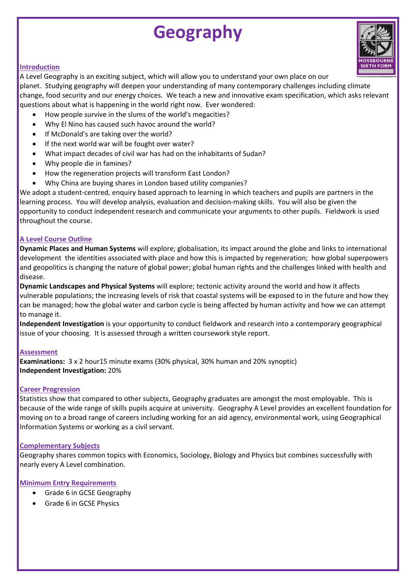### **Geography**

### **Introduction**

A Level Geography is an exciting subject, which will allow you to understand your own place on our

planet. Studying geography will deepen your understanding of many contemporary challenges including climate change, food security and our energy choices. We teach a new and innovative exam specification, which asks relevant questions about what is happening in the world right now. Ever wondered:

- How people survive in the slums of the world's megacities?
- Why El Nino has caused such havoc around the world?
- If McDonald's are taking over the world?
- If the next world war will be fought over water?
- What impact decades of civil war has had on the inhabitants of Sudan?
- Why people die in famines?
- How the regeneration projects will transform East London?
- Why China are buying shares in London based utility companies?

We adopt a student-centred, enquiry based approach to learning in which teachers and pupils are partners in the learning process. You will develop analysis, evaluation and decision-making skills. You will also be given the opportunity to conduct independent research and communicate your arguments to other pupils. Fieldwork is used throughout the course.

### **A Level Course Outline**

**Dynamic Places and Human Systems** will explore; globalisation, its impact around the globe and links to international development the identities associated with place and how this is impacted by regeneration; how global superpowers and geopolitics is changing the nature of global power; global human rights and the challenges linked with health and disease.

**Dynamic Landscapes and Physical Systems** will explore; tectonic activity around the world and how it affects vulnerable populations; the increasing levels of risk that coastal systems will be exposed to in the future and how they can be managed; how the global water and carbon cycle is being affected by human activity and how we can attempt to manage it.

**Independent Investigation** is your opportunity to conduct fieldwork and research into a contemporary geographical issue of your choosing. It is assessed through a written coursework style report.

### **Assessment**

**Examinations:** 3 x 2 hour15 minute exams (30% physical, 30% human and 20% synoptic) **Independent Investigation:** 20%

### **Career Progression**

Statistics show that compared to other subjects, Geography graduates are amongst the most employable. This is because of the wide range of skills pupils acquire at university. Geography A Level provides an excellent foundation for moving on to a broad range of careers including working for an aid agency, environmental work, using Geographical Information Systems or working as a civil servant.

### **Complementary Subjects**

Geography shares common topics with Economics, Sociology, Biology and Physics but combines successfully with nearly every A Level combination.

- Grade 6 in GCSE Geography
- Grade 6 in GCSE Physics

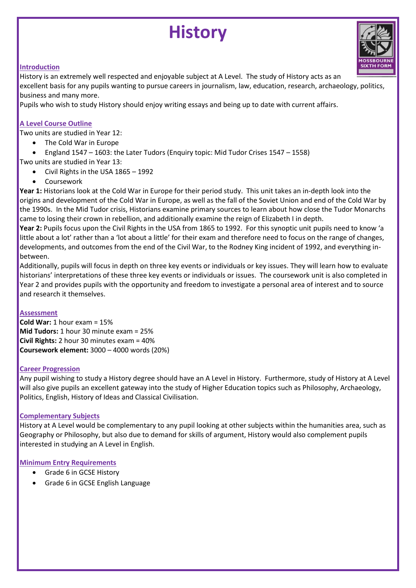### **History**



### **Introduction**

History is an extremely well respected and enjoyable subject at A Level. The study of History acts as an

excellent basis for any pupils wanting to pursue careers in journalism, law, education, research, archaeology, politics, business and many more.

Pupils who wish to study History should enjoy writing essays and being up to date with current affairs.

### **A Level Course Outline**

Two units are studied in Year 12:

- The Cold War in Europe
- England 1547 1603: the Later Tudors (Enquiry topic: Mid Tudor Crises 1547 1558)
- Two units are studied in Year 13:
	- Civil Rights in the USA 1865 1992
	- **•** Coursework

**Year 1:** Historians look at the Cold War in Europe for their period study. This unit takes an in-depth look into the origins and development of the Cold War in Europe, as well as the fall of the Soviet Union and end of the Cold War by the 1990s. In the Mid Tudor crisis, Historians examine primary sources to learn about how close the Tudor Monarchs came to losing their crown in rebellion, and additionally examine the reign of Elizabeth I in depth.

**Year 2:** Pupils focus upon the Civil Rights in the USA from 1865 to 1992. For this synoptic unit pupils need to know 'a little about a lot' rather than a 'lot about a little' for their exam and therefore need to focus on the range of changes, developments, and outcomes from the end of the Civil War, to the Rodney King incident of 1992, and everything inbetween.

Additionally, pupils will focus in depth on three key events or individuals or key issues. They will learn how to evaluate historians' interpretations of these three key events or individuals or issues. The coursework unit is also completed in Year 2 and provides pupils with the opportunity and freedom to investigate a personal area of interest and to source and research it themselves.

### **Assessment**

**Cold War:** 1 hour exam = 15% **Mid Tudors:** 1 hour 30 minute exam = 25% **Civil Rights:** 2 hour 30 minutes exam = 40% **Coursework element:** 3000 – 4000 words (20%)

### **Career Progression**

Any pupil wishing to study a History degree should have an A Level in History. Furthermore, study of History at A Level will also give pupils an excellent gateway into the study of Higher Education topics such as Philosophy, Archaeology, Politics, English, History of Ideas and Classical Civilisation.

### **Complementary Subjects**

History at A Level would be complementary to any pupil looking at other subjects within the humanities area, such as Geography or Philosophy, but also due to demand for skills of argument, History would also complement pupils interested in studying an A Level in English.

- Grade 6 in GCSE History
- Grade 6 in GCSE English Language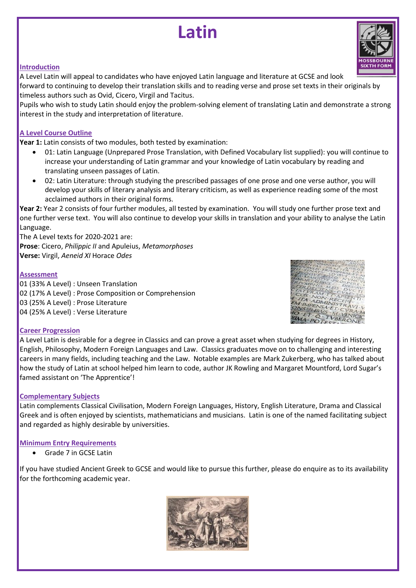### **Latin**

### **Introduction**

A Level Latin will appeal to candidates who have enjoyed Latin language and literature at GCSE and look forward to continuing to develop their translation skills and to reading verse and prose set texts in their originals by timeless authors such as Ovid, Cicero, Virgil and Tacitus.

Pupils who wish to study Latin should enjoy the problem-solving element of translating Latin and demonstrate a strong interest in the study and interpretation of literature.

### **A Level Course Outline**

**Year 1:** Latin consists of two modules, both tested by examination:

- 01: Latin Language (Unprepared Prose Translation, with Defined Vocabulary list supplied): you will continue to increase your understanding of Latin grammar and your knowledge of Latin vocabulary by reading and translating unseen passages of Latin.
- 02: Latin Literature: through studying the prescribed passages of one prose and one verse author, you will develop your skills of literary analysis and literary criticism, as well as experience reading some of the most acclaimed authors in their original forms.

**Year 2:** Year 2 consists of four further modules, all tested by examination. You will study one further prose text and one further verse text. You will also continue to develop your skills in translation and your ability to analyse the Latin Language.

The A Level texts for 2020-2021 are: **Prose**: Cicero, *Philippic II* and Apuleius, *Metamorphoses* **Verse:** Virgil, *Aeneid XI* Horace *Odes*

### **Assessment**

01 (33% A Level) : Unseen Translation 02 (17% A Level) : Prose Composition or Comprehension 03 (25% A Level) : Prose Literature 04 (25% A Level) : Verse Literature



### **Career Progression**

A Level Latin is desirable for a degree in Classics and can prove a great asset when studying for degrees in History, English, Philosophy, Modern Foreign Languages and Law. Classics graduates move on to challenging and interesting careers in many fields, including teaching and the Law. Notable examples are Mark Zukerberg, who has talked about how the study of Latin at school helped him learn to code, author JK Rowling and Margaret Mountford, Lord Sugar's famed assistant on 'The Apprentice'!

### **Complementary Subjects**

Latin complements Classical Civilisation, Modern Foreign Languages, History, English Literature, Drama and Classical Greek and is often enjoyed by scientists, mathematicians and musicians. Latin is one of the named facilitating subject and regarded as highly desirable by universities.

### **Minimum Entry Requirements**

Grade 7 in GCSE Latin

If you have studied Ancient Greek to GCSE and would like to pursue this further, please do enquire as to its availability for the forthcoming academic year.



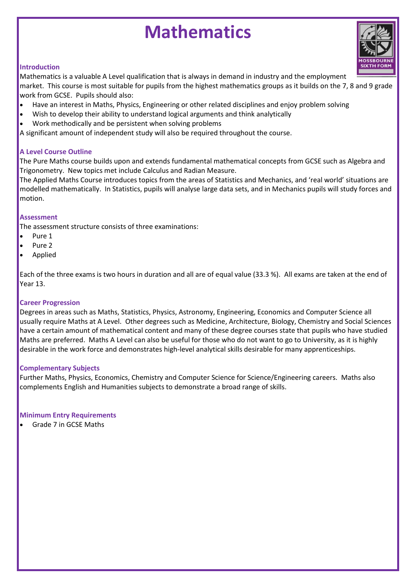### **Mathematics**

### **Introduction**

Mathematics is a valuable A Level qualification that is always in demand in industry and the employment

market. This course is most suitable for pupils from the highest mathematics groups as it builds on the 7, 8 and 9 grade work from GCSE. Pupils should also:

- Have an interest in Maths, Physics, Engineering or other related disciplines and enjoy problem solving
- Wish to develop their ability to understand logical arguments and think analytically
- Work methodically and be persistent when solving problems

A significant amount of independent study will also be required throughout the course.

### **A Level Course Outline**

The Pure Maths course builds upon and extends fundamental mathematical concepts from GCSE such as Algebra and Trigonometry. New topics met include Calculus and Radian Measure.

The Applied Maths Course introduces topics from the areas of Statistics and Mechanics, and 'real world' situations are modelled mathematically. In Statistics, pupils will analyse large data sets, and in Mechanics pupils will study forces and motion.

### **Assessment**

The assessment structure consists of three examinations:

- Pure 1
- Pure 2
- Applied

Each of the three exams is two hours in duration and all are of equal value (33.3 %). All exams are taken at the end of Year 13.

### **Career Progression**

Degrees in areas such as Maths, Statistics, Physics, Astronomy, Engineering, Economics and Computer Science all usually require Maths at A Level. Other degrees such as Medicine, Architecture, Biology, Chemistry and Social Sciences have a certain amount of mathematical content and many of these degree courses state that pupils who have studied Maths are preferred. Maths A Level can also be useful for those who do not want to go to University, as it is highly desirable in the work force and demonstrates high-level analytical skills desirable for many apprenticeships.

### **Complementary Subjects**

Further Maths, Physics, Economics, Chemistry and Computer Science for Science/Engineering careers. Maths also complements English and Humanities subjects to demonstrate a broad range of skills.

### **Minimum Entry Requirements**

Grade 7 in GCSE Maths

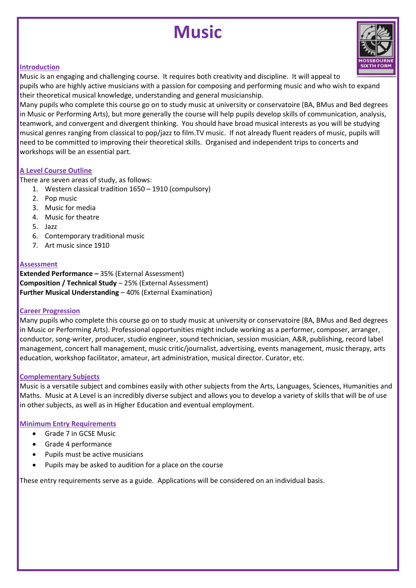### **Music**



### **Introduction**

Music is an engaging and challenging course. It requires both creativity and discipline. It will appeal to pupils who are highly active musicians with a passion for composing and performing music and who wish to expand their theoretical musical knowledge, understanding and general musicianship.

Many pupils who complete this course go on to study music at university or conservatoire (BA, BMus and Bed degrees in Music or Performing Arts), but more generally the course will help pupils develop skills of communication, analysis, teamwork, and convergent and divergent thinking. You should have broad musical interests as you will be studying musical genres ranging from classical to pop/jazz to film.TV music. If not already fluent readers of music, pupils will need to be committed to improving their theoretical skills. Organised and independent trips to concerts and workshops will be an essential part.

### **A Level Course Outline**

There are seven areas of study, as follows:

- 1. Western classical tradition 1650 1910 (compulsory)
- 2. Pop music
- 3. Music for media
- 4. Music for theatre
- 5. Jazz
- 6. Contemporary traditional music
- 7. Art music since 1910

### **Assessment**

**Extended Performance –** 35% (External Assessment) **Composition / Technical Study** – 25% (External Assessment) **Further Musical Understanding – 40% (External Examination)** 

#### **Career Progression**

Many pupils who complete this course go on to study music at university or conservatoire (BA, BMus and Bed degrees in Music or Performing Arts). Professional opportunities might include working as a performer, composer, arranger, conductor, song-writer, producer, studio engineer, sound technician, session musician, A&R, publishing, record label management, concert hall management, music critic/journalist, advertising, events management, music therapy, arts education, workshop facilitator, amateur, art administration, musical director. Curator, etc.

### **Complementary Subjects**

Music is a versatile subject and combines easily with other subjects from the Arts, Languages, Sciences, Humanities and Maths. Music at A Level is an incredibly diverse subject and allows you to develop a variety of skills that will be of use in other subjects, as well as in Higher Education and eventual employment.

### **Minimum Entry Requirements**

- Grade 7 in GCSE Music
- Grade 4 performance
- Pupils must be active musicians
- Pupils may be asked to audition for a place on the course

These entry requirements serve as a guide. Applications will be considered on an individual basis.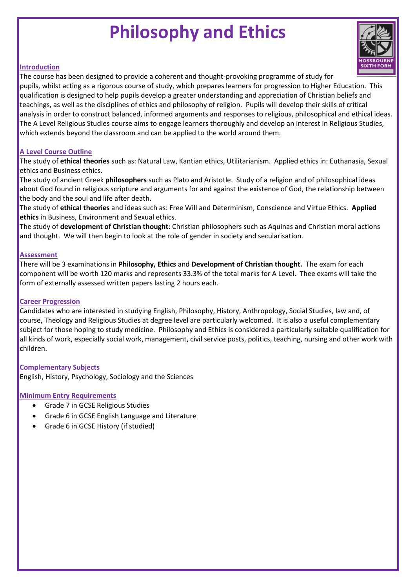### **Philosophy and Ethics**



### **Introduction**

The course has been designed to provide a coherent and thought-provoking programme of study for pupils, whilst acting as a rigorous course of study, which prepares learners for progression to Higher Education. This qualification is designed to help pupils develop a greater understanding and appreciation of Christian beliefs and teachings, as well as the disciplines of ethics and philosophy of religion. Pupils will develop their skills of critical analysis in order to construct balanced, informed arguments and responses to religious, philosophical and ethical ideas. The A Level Religious Studies course aims to engage learners thoroughly and develop an interest in Religious Studies, which extends beyond the classroom and can be applied to the world around them.

### **A Level Course Outline**

The study of **ethical theories** such as: Natural Law, Kantian ethics, Utilitarianism. Applied ethics in: Euthanasia, Sexual ethics and Business ethics.

The study of ancient Greek **philosophers** such as Plato and Aristotle. Study of a religion and of philosophical ideas about God found in religious scripture and arguments for and against the existence of God, the relationship between the body and the soul and life after death.

The study of **ethical theories** and ideas such as: Free Will and Determinism, Conscience and Virtue Ethics. **Applied ethics** in Business, Environment and Sexual ethics.

The study of **development of Christian thought**: Christian philosophers such as Aquinas and Christian moral actions and thought. We will then begin to look at the role of gender in society and secularisation.

#### **Assessment**

There will be 3 examinations in **Philosophy, Ethics** and **Development of Christian thought.** The exam for each component will be worth 120 marks and represents 33.3% of the total marks for A Level. Thee exams will take the form of externally assessed written papers lasting 2 hours each.

#### **Career Progression**

Candidates who are interested in studying English, Philosophy, History, Anthropology, Social Studies, law and, of course, Theology and Religious Studies at degree level are particularly welcomed. It is also a useful complementary subject for those hoping to study medicine. Philosophy and Ethics is considered a particularly suitable qualification for all kinds of work, especially social work, management, civil service posts, politics, teaching, nursing and other work with children.

### **Complementary Subjects**

English, History, Psychology, Sociology and the Sciences

- Grade 7 in GCSE Religious Studies
- Grade 6 in GCSE English Language and Literature
- Grade 6 in GCSE History (if studied)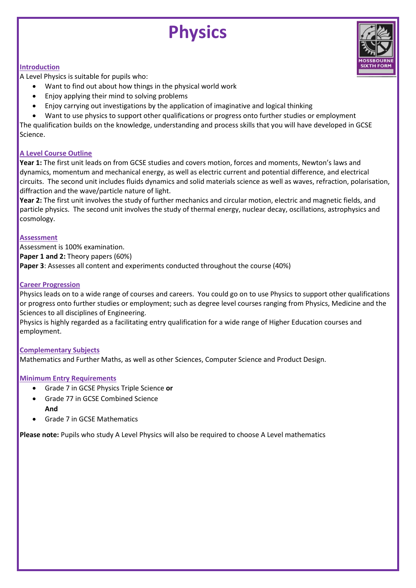## **Physics**



#### **Introduction**

A Level Physics is suitable for pupils who:

- Want to find out about how things in the physical world work
- Enjoy applying their mind to solving problems
- Enjoy carrying out investigations by the application of imaginative and logical thinking
- Want to use physics to support other qualifications or progress onto further studies or employment

The qualification builds on the knowledge, understanding and process skills that you will have developed in GCSE Science.

### **A Level Course Outline**

**Year 1:** The first unit leads on from GCSE studies and covers motion, forces and moments, Newton's laws and dynamics, momentum and mechanical energy, as well as electric current and potential difference, and electrical circuits. The second unit includes fluids dynamics and solid materials science as well as waves, refraction, polarisation, diffraction and the wave/particle nature of light.

**Year 2:** The first unit involves the study of further mechanics and circular motion, electric and magnetic fields, and particle physics. The second unit involves the study of thermal energy, nuclear decay, oscillations, astrophysics and cosmology.

### **Assessment**

Assessment is 100% examination. **Paper 1 and 2:** Theory papers (60%) **Paper 3**: Assesses all content and experiments conducted throughout the course (40%)

### **Career Progression**

Physics leads on to a wide range of courses and careers. You could go on to use Physics to support other qualifications or progress onto further studies or employment; such as degree level courses ranging from Physics, Medicine and the Sciences to all disciplines of Engineering.

Physics is highly regarded as a facilitating entry qualification for a wide range of Higher Education courses and employment.

### **Complementary Subjects**

Mathematics and Further Maths, as well as other Sciences, Computer Science and Product Design.

### **Minimum Entry Requirements**

- Grade 7 in GCSE Physics Triple Science **or**
- Grade 77 in GCSE Combined Science **And**
- Grade 7 in GCSE Mathematics

**Please note:** Pupils who study A Level Physics will also be required to choose A Level mathematics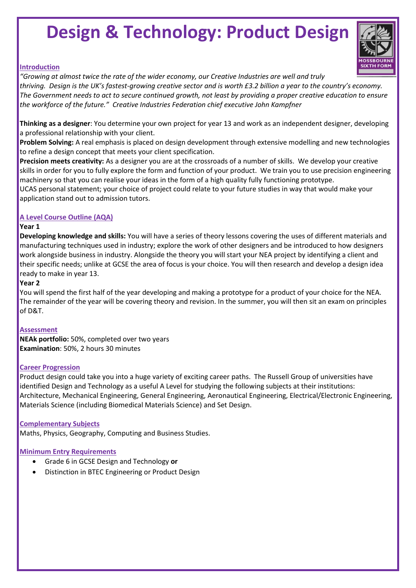### **Design & Technology: Product Design**



### **Introduction**

*"Growing at almost twice the rate of the wider economy, our Creative Industries are well and truly thriving. Design is the UK's fastest-growing creative sector and is worth £3.2 billion a year to the country's economy. The Government needs to act to secure continued growth, not least by providing a proper creative education to ensure the workforce of the future." Creative Industries Federation chief executive John Kampfner*

**Thinking as a designer**: You determine your own project for year 13 and work as an independent designer, developing a professional relationship with your client.

**Problem Solving:** A real emphasis is placed on design development through extensive modelling and new technologies to refine a design concept that meets your client specification.

**Precision meets creativity:** As a designer you are at the crossroads of a number of skills. We develop your creative skills in order for you to fully explore the form and function of your product. We train you to use precision engineering machinery so that you can realise your ideas in the form of a high quality fully functioning prototype.

UCAS personal statement; your choice of project could relate to your future studies in way that would make your application stand out to admission tutors.

### **A Level Course Outline (AQA)**

#### **Year 1**

**Developing knowledge and skills:** You will have a series of theory lessons covering the uses of different materials and manufacturing techniques used in industry; explore the work of other designers and be introduced to how designers work alongside business in industry. Alongside the theory you will start your NEA project by identifying a client and their specific needs; unlike at GCSE the area of focus is your choice. You will then research and develop a design idea ready to make in year 13.

### **Year 2**

You will spend the first half of the year developing and making a prototype for a product of your choice for the NEA. The remainder of the year will be covering theory and revision. In the summer, you will then sit an exam on principles of D&T.

### **Assessment**

**NEAk portfolio:** 50%, completed over two years **Examination**: 50%, 2 hours 30 minutes

### **Career Progression**

Product design could take you into a huge variety of exciting career paths. The Russell Group of universities have identified Design and Technology as a useful A Level for studying the following subjects at their institutions: Architecture, Mechanical Engineering, General Engineering, Aeronautical Engineering, Electrical/Electronic Engineering, Materials Science (including Biomedical Materials Science) and Set Design.

#### **Complementary Subjects**

Maths, Physics, Geography, Computing and Business Studies.

- Grade 6 in GCSE Design and Technology **or**
- Distinction in BTEC Engineering or Product Design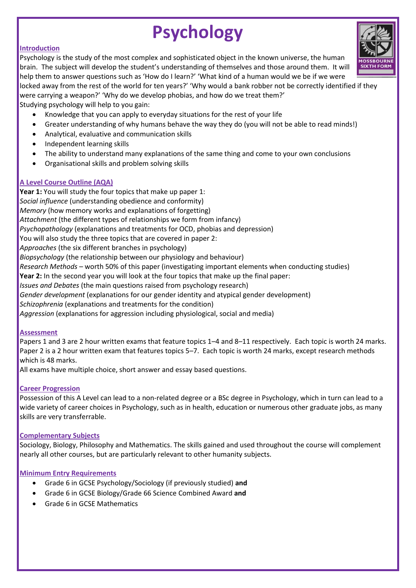### **Psychology**

### **Introduction**

Psychology is the study of the most complex and sophisticated object in the known universe, the human brain. The subject will develop the student's understanding of themselves and those around them. It will help them to answer questions such as 'How do I learn?' 'What kind of a human would we be if we were

locked away from the rest of the world for ten years?' 'Why would a bank robber not be correctly identified if they were carrying a weapon?' 'Why do we develop phobias, and how do we treat them?'

Studying psychology will help to you gain:

- Knowledge that you can apply to everyday situations for the rest of your life
- Greater understanding of why humans behave the way they do (you will not be able to read minds!)
- Analytical, evaluative and communication skills
- Independent learning skills
- The ability to understand many explanations of the same thing and come to your own conclusions
- Organisational skills and problem solving skills

### **A Level Course Outline (AQA)**

**Year 1:** You will study the four topics that make up paper 1: *Social influence* (understanding obedience and conformity) *Memory* (how memory works and explanations of forgetting) *Attachment* (the different types of relationships we form from infancy) *Psychopathology* (explanations and treatments for OCD, phobias and depression) You will also study the three topics that are covered in paper 2: *Approaches* (the six different branches in psychology) *Biopsychology* (the relationship between our physiology and behaviour) *Research Methods* – worth 50% of this paper (investigating important elements when conducting studies) **Year 2:** In the second year you will look at the four topics that make up the final paper: *Issues and Debates* (the main questions raised from psychology research) *Gender development* (explanations for our gender identity and atypical gender development) *Schizophrenia* (explanations and treatments for the condition) *Aggression* (explanations for aggression including physiological, social and media)

### **Assessment**

Papers 1 and 3 are 2 hour written exams that feature topics 1–4 and 8–11 respectively. Each topic is worth 24 marks. Paper 2 is a 2 hour written exam that features topics 5–7. Each topic is worth 24 marks, except research methods which is 48 marks.

All exams have multiple choice, short answer and essay based questions.

### **Career Progression**

Possession of this A Level can lead to a non-related degree or a BSc degree in Psychology, which in turn can lead to a wide variety of career choices in Psychology, such as in health, education or numerous other graduate jobs, as many skills are very transferrable.

### **Complementary Subjects**

Sociology, Biology, Philosophy and Mathematics. The skills gained and used throughout the course will complement nearly all other courses, but are particularly relevant to other humanity subjects.

- Grade 6 in GCSE Psychology/Sociology (if previously studied) **and**
- Grade 6 in GCSE Biology/Grade 66 Science Combined Award **and**
- Grade 6 in GCSE Mathematics

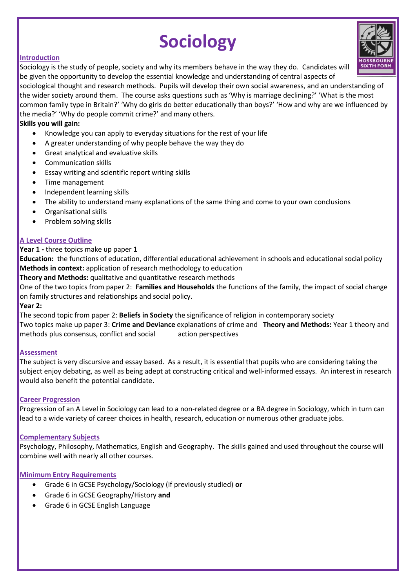### **Sociology**

### **Introduction**

Sociology is the study of people, society and why its members behave in the way they do. Candidates will be given the opportunity to develop the essential knowledge and understanding of central aspects of

sociological thought and research methods. Pupils will develop their own social awareness, and an understanding of the wider society around them. The course asks questions such as 'Why is marriage declining?' 'What is the most common family type in Britain?' 'Why do girls do better educationally than boys?' 'How and why are we influenced by the media?' 'Why do people commit crime?' and many others.

### **Skills you will gain:**

- Knowledge you can apply to everyday situations for the rest of your life
- A greater understanding of why people behave the way they do
- Great analytical and evaluative skills
- Communication skills
- Essay writing and scientific report writing skills
- Time management
- Independent learning skills
- The ability to understand many explanations of the same thing and come to your own conclusions
- Organisational skills
- Problem solving skills

### **A Level Course Outline**

### **Year 1 -** three topics make up paper 1

**Education:** the functions of education, differential educational achievement in schools and educational social policy **Methods in context:** application of research methodology to education

**Theory and Methods:** qualitative and quantitative research methods

One of the two topics from paper 2: **Families and Households** the functions of the family, the impact of social change on family structures and relationships and social policy.

### **Year 2:**

The second topic from paper 2: **Beliefs in Society** the significance of religion in contemporary society Two topics make up paper 3: **Crime and Deviance** explanations of crime and **Theory and Methods:** Year 1 theory and methods plus consensus, conflict and social action perspectives

### **Assessment**

The subject is very discursive and essay based. As a result, it is essential that pupils who are considering taking the subject enjoy debating, as well as being adept at constructing critical and well-informed essays. An interest in research would also benefit the potential candidate.

### **Career Progression**

Progression of an A Level in Sociology can lead to a non-related degree or a BA degree in Sociology, which in turn can lead to a wide variety of career choices in health, research, education or numerous other graduate jobs.

### **Complementary Subjects**

Psychology, Philosophy, Mathematics, English and Geography. The skills gained and used throughout the course will combine well with nearly all other courses.

- Grade 6 in GCSE Psychology/Sociology (if previously studied) **or**
- Grade 6 in GCSE Geography/History **and**
- Grade 6 in GCSE English Language

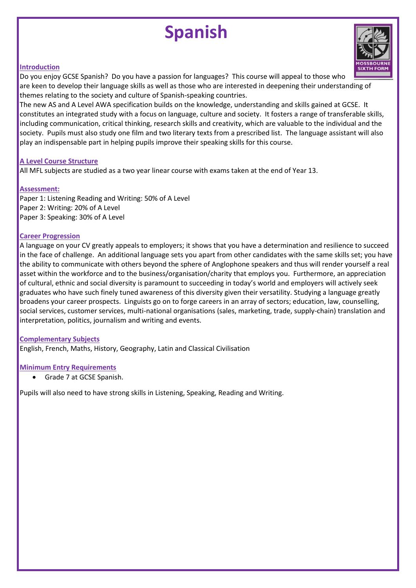### **Spanish**



### **Introduction**

Do you enjoy GCSE Spanish? Do you have a passion for languages? This course will appeal to those who are keen to develop their language skills as well as those who are interested in deepening their understanding of themes relating to the society and culture of Spanish-speaking countries.

The new AS and A Level AWA specification builds on the knowledge, understanding and skills gained at GCSE. It constitutes an integrated study with a focus on language, culture and society. It fosters a range of transferable skills, including communication, critical thinking, research skills and creativity, which are valuable to the individual and the society. Pupils must also study one film and two literary texts from a prescribed list. The language assistant will also play an indispensable part in helping pupils improve their speaking skills for this course.

### **A Level Course Structure**

All MFL subjects are studied as a two year linear course with exams taken at the end of Year 13.

### **Assessment:**

Paper 1: Listening Reading and Writing: 50% of A Level Paper 2: Writing: 20% of A Level Paper 3: Speaking: 30% of A Level

### **Career Progression**

A language on your CV greatly appeals to employers; it shows that you have a determination and resilience to succeed in the face of challenge. An additional language sets you apart from other candidates with the same skills set; you have the ability to communicate with others beyond the sphere of Anglophone speakers and thus will render yourself a real asset within the workforce and to the business/organisation/charity that employs you. Furthermore, an appreciation of cultural, ethnic and social diversity is paramount to succeeding in today's world and employers will actively seek graduates who have such finely tuned awareness of this diversity given their versatility. Studying a language greatly broadens your career prospects. Linguists go on to forge careers in an array of sectors; education, law, counselling, social services, customer services, multi-national organisations (sales, marketing, trade, supply-chain) translation and interpretation, politics, journalism and writing and events.

### **Complementary Subjects**

English, French, Maths, History, Geography, Latin and Classical Civilisation

### **Minimum Entry Requirements**

Grade 7 at GCSE Spanish.

Pupils will also need to have strong skills in Listening, Speaking, Reading and Writing.